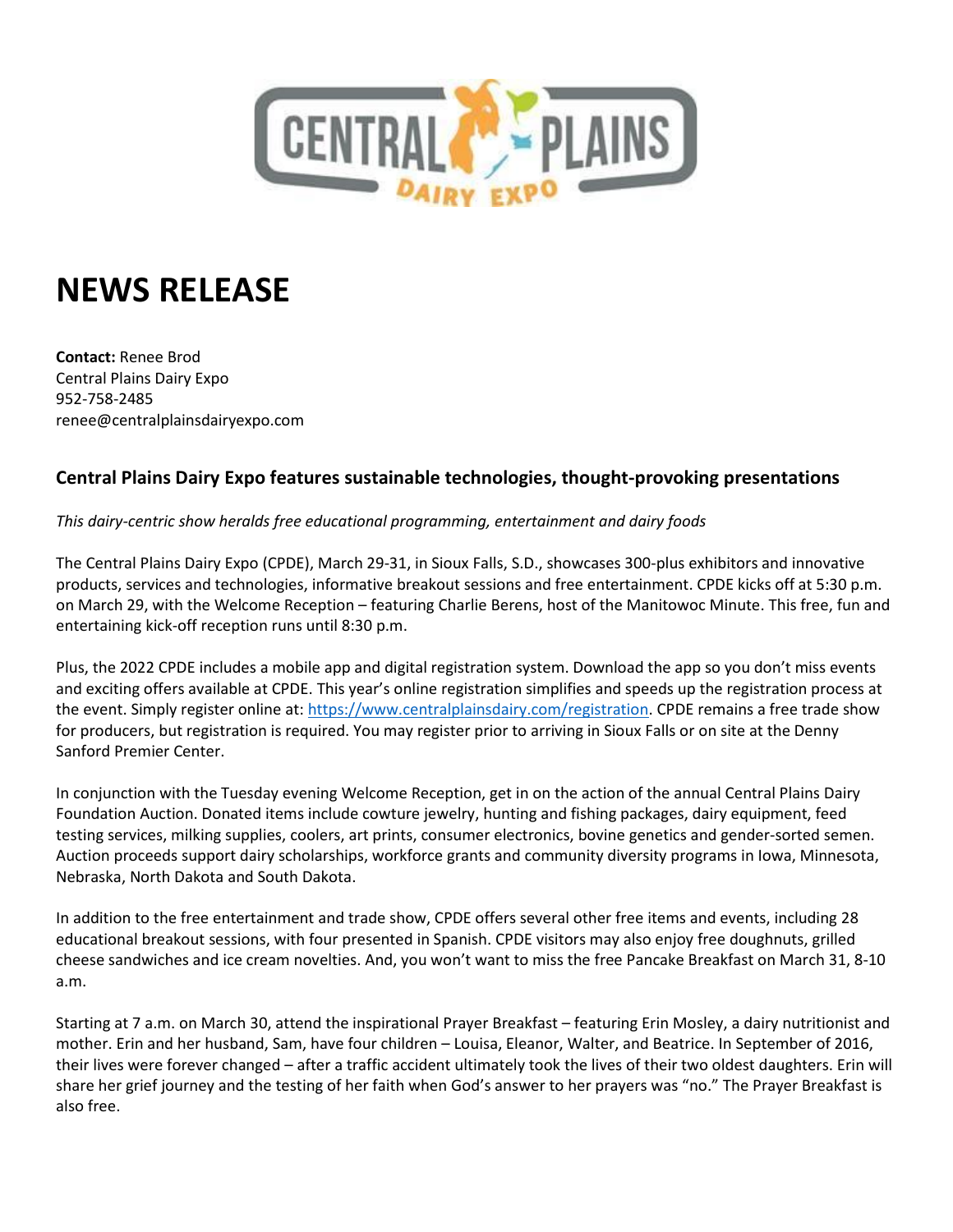

## **NEWS RELEASE**

**Contact:** Renee Brod Central Plains Dairy Expo 952-758-2485 renee@centralplainsdairyexpo.com

## **Central Plains Dairy Expo features sustainable technologies, thought-provoking presentations**

## *This dairy-centric show heralds free educational programming, entertainment and dairy foods*

The Central Plains Dairy Expo (CPDE), March 29-31, in Sioux Falls, S.D., showcases 300-plus exhibitors and innovative products, services and technologies, informative breakout sessions and free entertainment. CPDE kicks off at 5:30 p.m. on March 29, with the Welcome Reception – featuring Charlie Berens, host of the Manitowoc Minute. This free, fun and entertaining kick-off reception runs until 8:30 p.m.

Plus, the 2022 CPDE includes a mobile app and digital registration system. Download the app so you don't miss events and exciting offers available at CPDE. This year's online registration simplifies and speeds up the registration process at the event. Simply register online at: [https://www.centralplainsdairy.com/registration.](https://www.centralplainsdairy.com/registration/) CPDE remains a free trade show for producers, but registration is required. You may register prior to arriving in Sioux Falls or on site at the Denny Sanford Premier Center.

In conjunction with the Tuesday evening Welcome Reception, get in on the action of the annual Central Plains Dairy Foundation Auction. Donated items include cowture jewelry, hunting and fishing packages, dairy equipment, feed testing services, milking supplies, coolers, art prints, consumer electronics, bovine genetics and gender-sorted semen. Auction proceeds support dairy scholarships, workforce grants and community diversity programs in Iowa, Minnesota, Nebraska, North Dakota and South Dakota.

In addition to the free entertainment and trade show, CPDE offers several other free items and events, including 28 educational breakout sessions, with four presented in Spanish. CPDE visitors may also enjoy free doughnuts, grilled cheese sandwiches and ice cream novelties. And, you won't want to miss the free Pancake Breakfast on March 31, 8-10 a.m.

Starting at 7 a.m. on March 30, attend the inspirational Prayer Breakfast – featuring Erin Mosley, a dairy nutritionist and mother. Erin and her husband, Sam, have four children – Louisa, Eleanor, Walter, and Beatrice. In September of 2016, their lives were forever changed – after a traffic accident ultimately took the lives of their two oldest daughters. Erin will share her grief journey and the testing of her faith when God's answer to her prayers was "no." The Prayer Breakfast is also free.